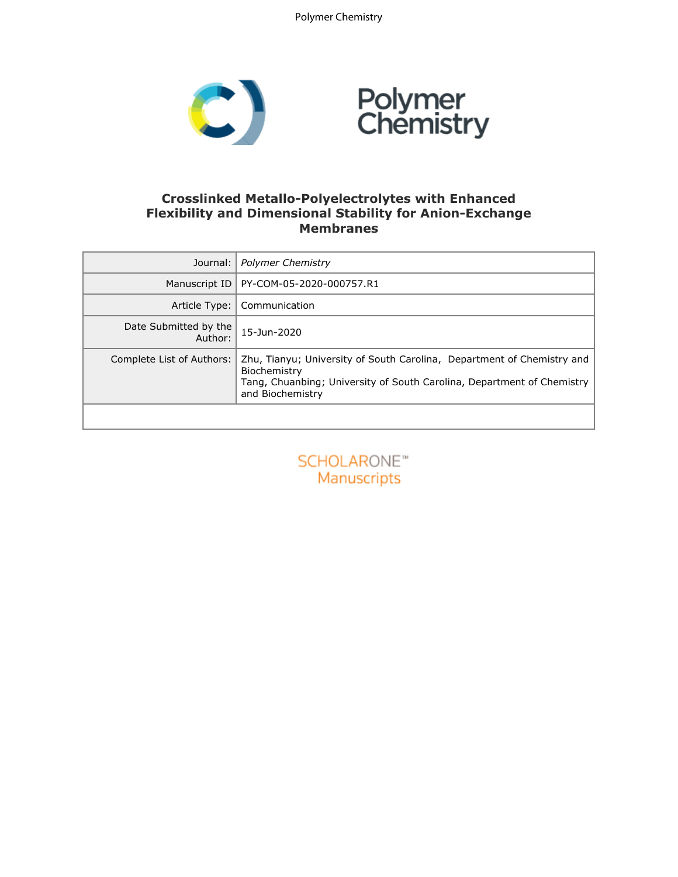Polymer Chemistry



### **Crosslinked Metallo-Polyelectrolytes with Enhanced Flexibility and Dimensional Stability for Anion-Exchange Membranes**

| Journal:                         | <b>Polymer Chemistry</b>                                                                                                                                                             |
|----------------------------------|--------------------------------------------------------------------------------------------------------------------------------------------------------------------------------------|
| Manuscript ID                    | PY-COM-05-2020-000757.R1                                                                                                                                                             |
| Article Type:                    | Communication                                                                                                                                                                        |
| Date Submitted by the<br>Author: | 15-Jun-2020                                                                                                                                                                          |
| Complete List of Authors:        | Zhu, Tianyu; University of South Carolina, Department of Chemistry and<br>Biochemistry<br>Tang, Chuanbing; University of South Carolina, Department of Chemistry<br>and Biochemistry |
|                                  |                                                                                                                                                                                      |

**SCHOLARONE™** Manuscripts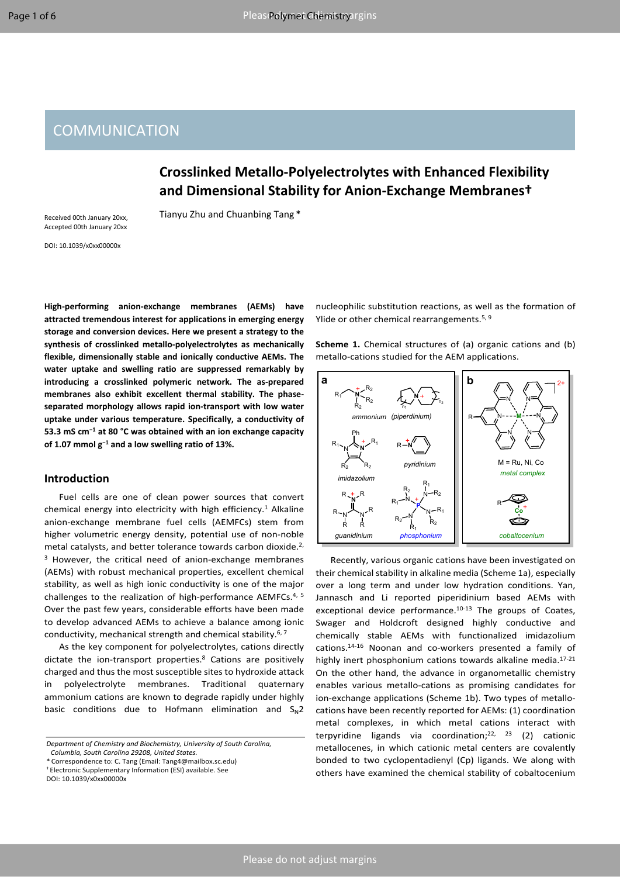## **COMMUNICATION**

## **Crosslinked Metallo-Polyelectrolytes with Enhanced Flexibility and Dimensional Stability for Anion-Exchange Membranes†**

Tianyu Zhu and Chuanbing Tang \*

Received 00th January 20xx, Accepted 00th January 20xx

DOI: 10.1039/x0xx00000x

**High-performing anion-exchange membranes (AEMs) have attracted tremendous interest for applications in emerging energy storage and conversion devices. Here we present a strategy to the synthesis of crosslinked metallo-polyelectrolytes as mechanically flexible, dimensionally stable and ionically conductive AEMs. The water uptake and swelling ratio are suppressed remarkably by introducing a crosslinked polymeric network. The as-prepared membranes also exhibit excellent thermal stability. The phaseseparated morphology allows rapid ion-transport with low water uptake under various temperature. Specifically, a conductivity of 53.3 mS cm−1 at 80 °C was obtained with an ion exchange capacity of 1.07 mmol g−1 and a low swelling ratio of 13%.**

#### **Introduction**

Fuel cells are one of clean power sources that convert chemical energy into electricity with high efficiency.<sup>1</sup> Alkaline anion-exchange membrane fuel cells (AEMFCs) stem from higher volumetric energy density, potential use of non-noble metal catalysts, and better tolerance towards carbon dioxide.<sup>2,</sup> <sup>3</sup> However, the critical need of anion-exchange membranes (AEMs) with robust mechanical properties, excellent chemical stability, as well as high ionic conductivity is one of the major challenges to the realization of high-performance AEMFCs.4, <sup>5</sup> Over the past few years, considerable efforts have been made to develop advanced AEMs to achieve a balance among ionic conductivity, mechanical strength and chemical stability.6, <sup>7</sup>

As the key component for polyelectrolytes, cations directly dictate the ion-transport properties.<sup>8</sup> Cations are positively charged and thus the most susceptible sites to hydroxide attack in polyelectrolyte membranes. Traditional quaternary ammonium cations are known to degrade rapidly under highly basic conditions due to Hofmann elimination and  $S_N 2$ 

*Department of Chemistry and Biochemistry, University of South Carolina, Columbia, South Carolina 29208, United States.*

\* Correspondence to: C. Tang (Email: Tang4@mailbox.sc.edu)

† Electronic Supplementary Information (ESI) available. See

DOI: 10.1039/x0xx00000x

nucleophilic substitution reactions, as well as the formation of Ylide or other chemical rearrangements.<sup>5, 9</sup>

**Scheme 1.** Chemical structures of (a) organic cations and (b) metallo-cations studied for the AEM applications.



Recently, various organic cations have been investigated on their chemical stability in alkaline media (Scheme 1a), especially over a long term and under low hydration conditions. Yan, Jannasch and Li reported piperidinium based AEMs with exceptional device performance.10-13 The groups of Coates, Swager and Holdcroft designed highly conductive and chemically stable AEMs with functionalized imidazolium cations.14-16 Noonan and co-workers presented a family of highly inert phosphonium cations towards alkaline media.<sup>17-21</sup> On the other hand, the advance in organometallic chemistry enables various metallo-cations as promising candidates for ion-exchange applications (Scheme 1b). Two types of metallocations have been recently reported for AEMs: (1) coordination metal complexes, in which metal cations interact with terpyridine ligands via coordination;<sup>22, 23</sup> (2) cationic metallocenes, in which cationic metal centers are covalently bonded to two cyclopentadienyl (Cp) ligands. We along with others have examined the chemical stability of cobaltocenium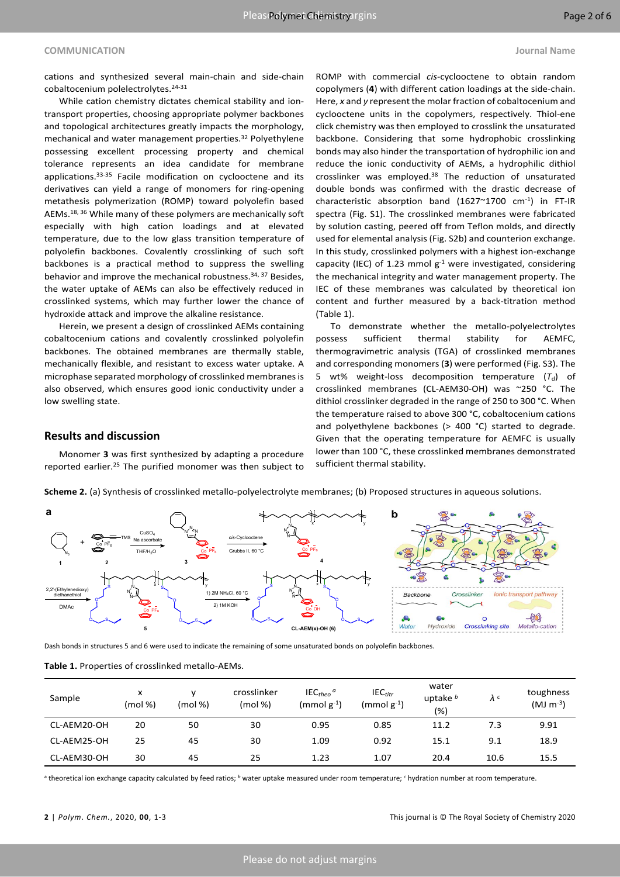cations and synthesized several main-chain and side-chain cobaltocenium polelectrolytes.<sup>24-31</sup>

While cation chemistry dictates chemical stability and iontransport properties, choosing appropriate polymer backbones and topological architectures greatly impacts the morphology, mechanical and water management properties.<sup>32</sup> Polyethylene possessing excellent processing property and chemical tolerance represents an idea candidate for membrane applications.<sup>33-35</sup> Facile modification on cyclooctene and its derivatives can yield a range of monomers for ring-opening metathesis polymerization (ROMP) toward polyolefin based AEMs.18, <sup>36</sup> While many of these polymers are mechanically soft especially with high cation loadings and at elevated temperature, due to the low glass transition temperature of polyolefin backbones. Covalently crosslinking of such soft backbones is a practical method to suppress the swelling behavior and improve the mechanical robustness.<sup>34, 37</sup> Besides, the water uptake of AEMs can also be effectively reduced in crosslinked systems, which may further lower the chance of hydroxide attack and improve the alkaline resistance.

Herein, we present a design of crosslinked AEMs containing cobaltocenium cations and covalently crosslinked polyolefin backbones. The obtained membranes are thermally stable, mechanically flexible, and resistant to excess water uptake. A microphase separated morphology of crosslinked membranesis also observed, which ensures good ionic conductivity under a low swelling state.

ROMP with commercial *cis*-cyclooctene to obtain random copolymers (**4**) with different cation loadings at the side-chain. Here, *x* and *y* represent the molar fraction of cobaltocenium and cyclooctene units in the copolymers, respectively. Thiol-ene click chemistry was then employed to crosslink the unsaturated backbone. Considering that some hydrophobic crosslinking bonds may also hinder the transportation of hydrophilic ion and reduce the ionic conductivity of AEMs, a hydrophilic dithiol crosslinker was employed.<sup>38</sup> The reduction of unsaturated double bonds was confirmed with the drastic decrease of characteristic absorption band (1627 $\sim$ 1700 cm<sup>-1</sup>) in FT-IR spectra (Fig. S1). The crosslinked membranes were fabricated by solution casting, peered off from Teflon molds, and directly used for elemental analysis (Fig. S2b) and counterion exchange. In this study, crosslinked polymers with a highest ion-exchange capacity (IEC) of 1.23 mmol  $g^{-1}$  were investigated, considering the mechanical integrity and water management property. The IEC of these membranes was calculated by theoretical ion content and further measured by a back-titration method (Table 1).

To demonstrate whether the metallo-polyelectrolytes possess sufficient thermal stability for AEMFC, thermogravimetric analysis (TGA) of crosslinked membranes and corresponding monomers(**3**) were performed (Fig. S3). The 5 wt% weight-loss decomposition temperature  $(T_d)$  of crosslinked membranes (CL-AEM30-OH) was ~250 °C. The dithiol crosslinker degraded in the range of 250 to 300 °C. When the temperature raised to above 300 °C, cobaltocenium cations and polyethylene backbones (> 400 °C) started to degrade. Given that the operating temperature for AEMFC is usually lower than 100 °C, these crosslinked membranes demonstrated sufficient thermal stability.

## **Results and discussion**

Monomer **3** was first synthesized by adapting a procedure reported earlier.<sup>25</sup> The purified monomer was then subject to

**Scheme 2.** (a) Synthesis of crosslinked metallo-polyelectrolyte membranes; (b) Proposed structures in aqueous solutions.



Dash bonds in structures 5 and 6 were used to indicate the remaining of some unsaturated bonds on polyolefin backbones.

**Table 1.** Properties of crosslinked metallo-AEMs.

| Sample      | x<br>(mol %) | (mod % | crosslinker<br>(mod % ) | $IECtheo$ <sup>a</sup><br>$(mmol)$ $g^{-1}$ | $IEC_{titr}$<br>$(mmol)g^{-1}$ | water<br>uptake $b$<br>(%) | $\lambda^c$ | toughness<br>$(MJ \, m^{-3})$ |
|-------------|--------------|--------|-------------------------|---------------------------------------------|--------------------------------|----------------------------|-------------|-------------------------------|
| CL-AEM20-OH | 20           | 50     | 30                      | 0.95                                        | 0.85                           | 11.2                       | 7.3         | 9.91                          |
| CL-AEM25-OH | 25           | 45     | 30                      | 1.09                                        | 0.92                           | 15.1                       | 9.1         | 18.9                          |
| CL-AEM30-OH | 30           | 45     | 25                      | 1.23                                        | 1.07                           | 20.4                       | 10.6        | 15.5                          |

<sup>a</sup> theoretical ion exchange capacity calculated by feed ratios; <sup>*b*</sup> water uptake measured under room temperature; <sup>c</sup> hydration number at room temperature.

**2** | *Polym*. *Chem.*, 2020, **00**, 1-3 This journal is © The Royal Society of Chemistry 2020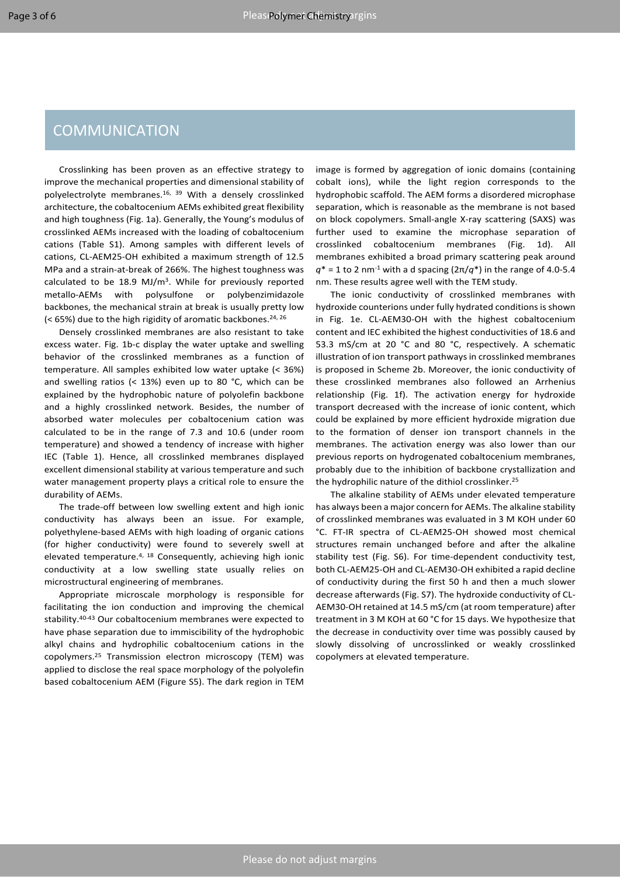# **COMMUNICATION**

Crosslinking has been proven as an effective strategy to improve the mechanical properties and dimensional stability of polyelectrolyte membranes.16, <sup>39</sup> With a densely crosslinked architecture, the cobaltocenium AEMs exhibited great flexibility and high toughness (Fig. 1a). Generally, the Young's modulus of crosslinked AEMs increased with the loading of cobaltocenium cations (Table S1). Among samples with different levels of cations, CL-AEM25-OH exhibited a maximum strength of 12.5 MPa and a strain-at-break of 266%. The highest toughness was calculated to be 18.9 MJ/m<sup>3</sup>. While for previously reported metallo-AEMs with polysulfone or polybenzimidazole backbones, the mechanical strain at break is usually pretty low (< 65%) due to the high rigidity of aromatic backbones.<sup>24, 26</sup>

Densely crosslinked membranes are also resistant to take excess water. Fig. 1b-c display the water uptake and swelling behavior of the crosslinked membranes as a function of temperature. All samples exhibited low water uptake (< 36%) and swelling ratios (< 13%) even up to 80 °C, which can be explained by the hydrophobic nature of polyolefin backbone and a highly crosslinked network. Besides, the number of absorbed water molecules per cobaltocenium cation was calculated to be in the range of 7.3 and 10.6 (under room temperature) and showed a tendency of increase with higher IEC (Table 1). Hence, all crosslinked membranes displayed excellent dimensional stability at various temperature and such water management property plays a critical role to ensure the durability of AEMs.

The trade-off between low swelling extent and high ionic conductivity has always been an issue. For example, polyethylene-based AEMs with high loading of organic cations (for higher conductivity) were found to severely swell at elevated temperature.4, <sup>18</sup> Consequently, achieving high ionic conductivity at a low swelling state usually relies on microstructural engineering of membranes.

Appropriate microscale morphology is responsible for facilitating the ion conduction and improving the chemical stability.40-43 Our cobaltocenium membranes were expected to have phase separation due to immiscibility of the hydrophobic alkyl chains and hydrophilic cobaltocenium cations in the copolymers.<sup>25</sup> Transmission electron microscopy (TEM) was applied to disclose the real space morphology of the polyolefin based cobaltocenium AEM (Figure S5). The dark region in TEM

image is formed by aggregation of ionic domains (containing cobalt ions), while the light region corresponds to the hydrophobic scaffold. The AEM forms a disordered microphase separation, which is reasonable as the membrane is not based on block copolymers. Small-angle X-ray scattering (SAXS) was further used to examine the microphase separation of crosslinked cobaltocenium membranes (Fig. 1d). All membranes exhibited a broad primary scattering peak around  $q^*$  = 1 to 2 nm<sup>-1</sup> with a d spacing ( $2π/q^*$ ) in the range of 4.0-5.4 nm. These results agree well with the TEM study.

The ionic conductivity of crosslinked membranes with hydroxide counterions under fully hydrated conditions is shown in Fig. 1e. CL-AEM30-OH with the highest cobaltocenium content and IEC exhibited the highest conductivities of 18.6 and 53.3 mS/cm at 20 °C and 80 °C, respectively. A schematic illustration of ion transport pathways in crosslinked membranes is proposed in Scheme 2b. Moreover, the ionic conductivity of these crosslinked membranes also followed an Arrhenius relationship (Fig. 1f). The activation energy for hydroxide transport decreased with the increase of ionic content, which could be explained by more efficient hydroxide migration due to the formation of denser ion transport channels in the membranes. The activation energy was also lower than our previous reports on hydrogenated cobaltocenium membranes, probably due to the inhibition of backbone crystallization and the hydrophilic nature of the dithiol crosslinker.<sup>25</sup>

The alkaline stability of AEMs under elevated temperature has always been a major concern for AEMs. The alkaline stability of crosslinked membranes was evaluated in 3 M KOH under 60 °C. FT-IR spectra of CL-AEM25-OH showed most chemical structures remain unchanged before and after the alkaline stability test (Fig. S6). For time-dependent conductivity test, both CL-AEM25-OH and CL-AEM30-OH exhibited a rapid decline of conductivity during the first 50 h and then a much slower decrease afterwards (Fig. S7). The hydroxide conductivity of CL-AEM30-OH retained at 14.5 mS/cm (at room temperature) after treatment in 3 M KOH at 60 °C for 15 days. We hypothesize that the decrease in conductivity over time was possibly caused by slowly dissolving of uncrosslinked or weakly crosslinked copolymers at elevated temperature.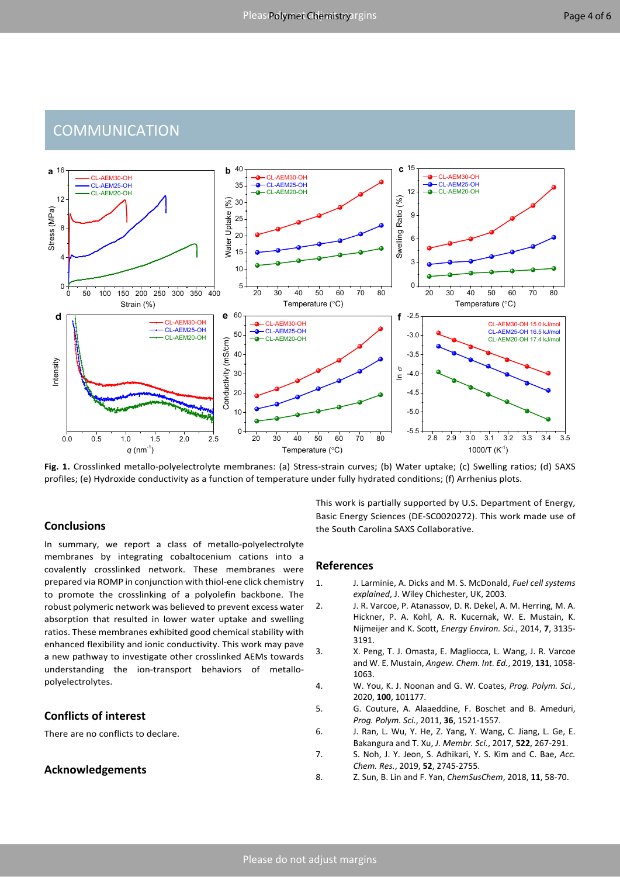# **COMMUNICATION**



**Fig. 1.** Crosslinked metallo-polyelectrolyte membranes: (a) Stress-strain curves; (b) Water uptake; (c) Swelling ratios; (d) SAXS profiles; (e) Hydroxide conductivity as a function of temperature under fully hydrated conditions; (f) Arrhenius plots.

## **Conclusions**

In summary, we report a class of metallo-polyelectrolyte membranes by integrating cobaltocenium cations into a covalently crosslinked network. These membranes were prepared via ROMP in conjunction with thiol-ene click chemistry to promote the crosslinking of a polyolefin backbone. The robust polymeric network was believed to prevent excess water absorption that resulted in lower water uptake and swelling ratios. These membranes exhibited good chemical stability with enhanced flexibility and ionic conductivity. This work may pave a new pathway to investigate other crosslinked AEMs towards understanding the ion-transport behaviors of metallopolyelectrolytes.

## **Conflicts of interest**

There are no conflicts to declare.

## **Acknowledgements**

This work is partially supported by U.S. Department of Energy, Basic Energy Sciences (DE-SC0020272). This work made use of the South Carolina SAXS Collaborative.

#### **References**

- 1. J. Larminie, A. Dicks and M. S. McDonald, *Fuel cell systems explained*, J. Wiley Chichester, UK, 2003.
- 2. J. R. Varcoe, P. Atanassov, D. R. Dekel, A. M. Herring, M. A. Hickner, P. A. Kohl, A. R. Kucernak, W. E. Mustain, K. Nijmeijer and K. Scott, *Energy Environ. Sci.*, 2014, **7**, 3135- 3191.
- 3. X. Peng, T. J. Omasta, E. Magliocca, L. Wang, J. R. Varcoe and W. E. Mustain, *Angew. Chem. Int. Ed.*, 2019, **131**, 1058- 1063.
- 4. W. You, K. J. Noonan and G. W. Coates, *Prog. Polym. Sci.*, 2020, **100**, 101177.
- 5. G. Couture, A. Alaaeddine, F. Boschet and B. Ameduri, *Prog. Polym. Sci.*, 2011, **36**, 1521-1557.
- 6. J. Ran, L. Wu, Y. He, Z. Yang, Y. Wang, C. Jiang, L. Ge, E. Bakangura and T. Xu, *J. Membr. Sci.*, 2017, **522**, 267-291.
- 7. S. Noh, J. Y. Jeon, S. Adhikari, Y. S. Kim and C. Bae, *Acc. Chem. Res.*, 2019, **52**, 2745-2755.
- 8. Z. Sun, B. Lin and F. Yan, *ChemSusChem*, 2018, **11**, 58-70.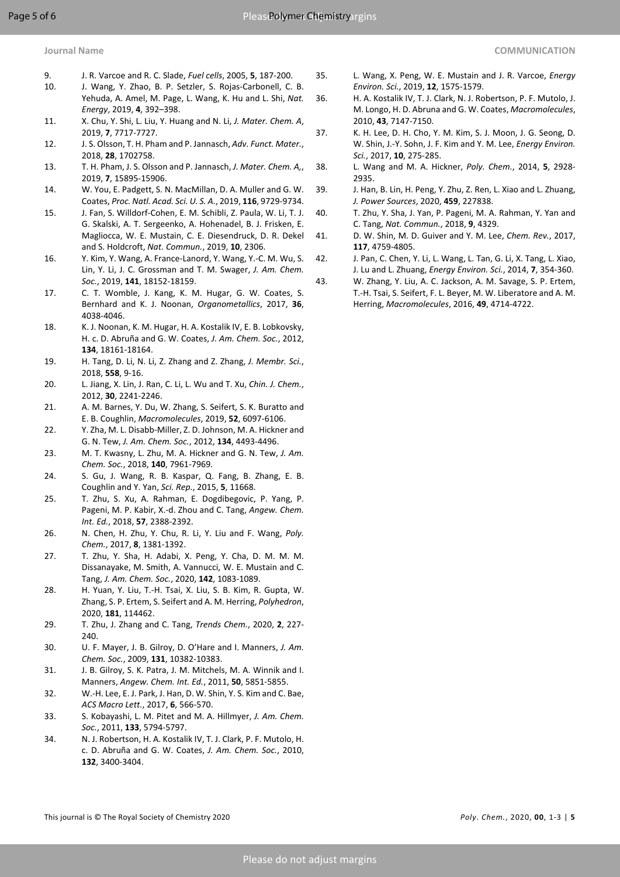- 
- 9. J. R. Varcoe and R. C. Slade, *Fuel cells*, 2005, **5**, 187-200.
- 10. J. Wang, Y. Zhao, B. P. Setzler, S. Rojas-Carbonell, C. B. Yehuda, A. Amel, M. Page, L. Wang, K. Hu and L. Shi, *Nat. Energy*, 2019, **4**, 392–398.
- 11. X. Chu, Y. Shi, L. Liu, Y. Huang and N. Li, *J. Mater. Chem. A*, 2019, **7**, 7717-7727.
- 12. J. S. Olsson, T. H. Pham and P. Jannasch, *Adv. Funct. Mater.*, 2018, **28**, 1702758.
- 13. T. H. Pham, J. S. Olsson and P. Jannasch, *J. Mater. Chem. A,*, 2019, **7**, 15895-15906.
- 14. W. You, E. Padgett, S. N. MacMillan, D. A. Muller and G. W. Coates, *Proc. Natl. Acad. Sci. U. S. A.*, 2019, **116**, 9729-9734.
- 15. J. Fan, S. Willdorf-Cohen, E. M. Schibli, Z. Paula, W. Li, T. J. G. Skalski, A. T. Sergeenko, A. Hohenadel, B. J. Frisken, E. Magliocca, W. E. Mustain, C. E. Diesendruck, D. R. Dekel and S. Holdcroft, *Nat. Commun.*, 2019, **10**, 2306.
- 16. Y. Kim, Y. Wang, A. France-Lanord, Y. Wang, Y.-C. M. Wu, S. Lin, Y. Li, J. C. Grossman and T. M. Swager, *J. Am. Chem. Soc.*, 2019, **141**, 18152-18159.
- 17. C. T. Womble, J. Kang, K. M. Hugar, G. W. Coates, S. Bernhard and K. J. Noonan, *Organometallics*, 2017, **36**, 4038-4046.
- 18. K. J. Noonan, K. M. Hugar, H. A. Kostalik IV, E. B. Lobkovsky, H. c. D. Abruña and G. W. Coates, *J. Am. Chem. Soc.*, 2012, **134**, 18161-18164.
- 19. H. Tang, D. Li, N. Li, Z. Zhang and Z. Zhang, *J. Membr. Sci.*, 2018, **558**, 9-16.
- 20. L. Jiang, X. Lin, J. Ran, C. Li, L. Wu and T. Xu, *Chin. J. Chem.*, 2012, **30**, 2241-2246.
- 21. A. M. Barnes, Y. Du, W. Zhang, S. Seifert, S. K. Buratto and E. B. Coughlin, *Macromolecules*, 2019, **52**, 6097-6106.
- 22. Y. Zha, M. L. Disabb-Miller, Z. D. Johnson, M. A. Hickner and G. N. Tew, *J. Am. Chem. Soc.*, 2012, **134**, 4493-4496.
- 23. M. T. Kwasny, L. Zhu, M. A. Hickner and G. N. Tew, *J. Am. Chem. Soc.*, 2018, **140**, 7961-7969.
- 24. S. Gu, J. Wang, R. B. Kaspar, Q. Fang, B. Zhang, E. B. Coughlin and Y. Yan, *Sci. Rep.*, 2015, **5**, 11668.
- 25. T. Zhu, S. Xu, A. Rahman, E. Dogdibegovic, P. Yang, P. Pageni, M. P. Kabir, X.-d. Zhou and C. Tang, *Angew. Chem. Int. Ed.*, 2018, **57**, 2388-2392.
- 26. N. Chen, H. Zhu, Y. Chu, R. Li, Y. Liu and F. Wang, *Poly. Chem.*, 2017, **8**, 1381-1392.
- 27. T. Zhu, Y. Sha, H. Adabi, X. Peng, Y. Cha, D. M. M. M. Dissanayake, M. Smith, A. Vannucci, W. E. Mustain and C. Tang, *J. Am. Chem. Soc.*, 2020, **142**, 1083-1089.
- 28. H. Yuan, Y. Liu, T.-H. Tsai, X. Liu, S. B. Kim, R. Gupta, W. Zhang, S. P. Ertem, S. Seifert and A. M. Herring, *Polyhedron*, 2020, **181**, 114462.
- 29. T. Zhu, J. Zhang and C. Tang, *Trends Chem.*, 2020, **2**, 227-  $240$
- 30. U. F. Mayer, J. B. Gilroy, D. O'Hare and I. Manners, *J. Am. Chem. Soc.*, 2009, **131**, 10382-10383.
- 31. J. B. Gilroy, S. K. Patra, J. M. Mitchels, M. A. Winnik and I. Manners, *Angew. Chem. Int. Ed.*, 2011, **50**, 5851-5855.
- 32. W.-H. Lee, E. J. Park, J. Han, D. W. Shin, Y. S. Kim and C. Bae, *ACS Macro Lett.*, 2017, **6**, 566-570.
- 33. S. Kobayashi, L. M. Pitet and M. A. Hillmyer, *J. Am. Chem. Soc.*, 2011, **133**, 5794-5797.
- 34. N. J. Robertson, H. A. Kostalik IV, T. J. Clark, P. F. Mutolo, H. c. D. Abruña and G. W. Coates, *J. Am. Chem. Soc.*, 2010, **132**, 3400-3404.
- 35. L. Wang, X. Peng, W. E. Mustain and J. R. Varcoe, *Energy Environ. Sci.*, 2019, **12**, 1575-1579.
- 36. H. A. Kostalik IV, T. J. Clark, N. J. Robertson, P. F. Mutolo, J. M. Longo, H. D. Abruna and G. W. Coates, *Macromolecules*, 2010, **43**, 7147-7150.
- 37. K. H. Lee, D. H. Cho, Y. M. Kim, S. J. Moon, J. G. Seong, D. W. Shin, J.-Y. Sohn, J. F. Kim and Y. M. Lee, *Energy Environ. Sci.*, 2017, **10**, 275-285.
- 38. L. Wang and M. A. Hickner, *Poly. Chem.*, 2014, **5**, 2928- 2935.
- 39. J. Han, B. Lin, H. Peng, Y. Zhu, Z. Ren, L. Xiao and L. Zhuang, *J. Power Sources*, 2020, **459**, 227838.
- 40. T. Zhu, Y. Sha, J. Yan, P. Pageni, M. A. Rahman, Y. Yan and C. Tang, *Nat. Commun.*, 2018, **9**, 4329.
- 41. D. W. Shin, M. D. Guiver and Y. M. Lee, *Chem. Rev.*, 2017, **117**, 4759-4805.
- 42. J. Pan, C. Chen, Y. Li, L. Wang, L. Tan, G. Li, X. Tang, L. Xiao, J. Lu and L. Zhuang, *Energy Environ. Sci.*, 2014, **7**, 354-360.
- 43. W. Zhang, Y. Liu, A. C. Jackson, A. M. Savage, S. P. Ertem, T.-H. Tsai, S. Seifert, F. L. Beyer, M. W. Liberatore and A. M. Herring, *Macromolecules*, 2016, **49**, 4714-4722.